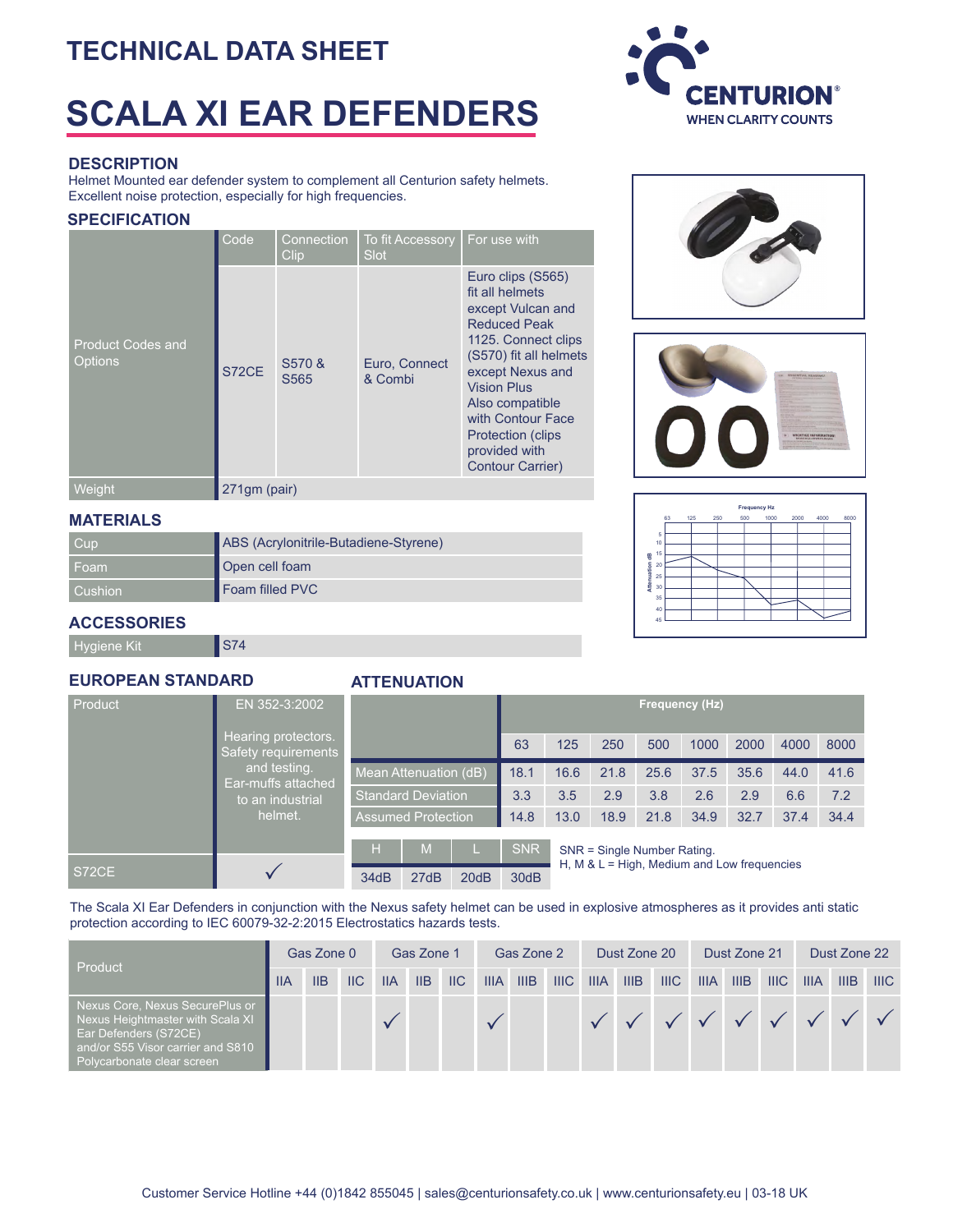### **TECHNICAL DATA SHEET**

## **SCALA XI EAR DEFENDERS**

### **DESCRIPTION**

Helmet Mounted ear defender system to complement all Centurion safety helmets. Excellent noise protection, especially for high frequencies.

### **SPECIFICATION**

|                                     | Code         | Connection<br>Clip         | <b>To fit Accessory</b><br>Slot | For use with                                                                                                                                                                                                                                                                                |
|-------------------------------------|--------------|----------------------------|---------------------------------|---------------------------------------------------------------------------------------------------------------------------------------------------------------------------------------------------------------------------------------------------------------------------------------------|
| <b>Product Codes and</b><br>Options | S72CE        | S570 &<br>S <sub>565</sub> | Euro, Connect<br>& Combi        | Euro clips (S565)<br>fit all helmets<br>except Vulcan and<br><b>Reduced Peak</b><br>1125. Connect clips<br>(S570) fit all helmets<br>except Nexus and<br><b>Vision Plus</b><br>Also compatible<br>with Contour Face<br><b>Protection (clips</b><br>provided with<br><b>Contour Carrier)</b> |
| Weight                              | 271qm (pair) |                            |                                 |                                                                                                                                                                                                                                                                                             |

#### **MATERIALS**

| <b>Cup</b>     | ABS (Acrylonitrile-Butadiene-Styrene) |  |  |  |  |  |
|----------------|---------------------------------------|--|--|--|--|--|
| ⊩Foam          | Open cell foam                        |  |  |  |  |  |
| <b>Cushion</b> | Foam filled PVC                       |  |  |  |  |  |

# **Frequency Hz** 63 125 250 500 1000 2000 4000 8000 5

10 15

| 믱                 |  |
|-------------------|--|
| Attenuation<br>20 |  |
|                   |  |
| 25                |  |
| 30                |  |
|                   |  |
| 35                |  |
| 40                |  |
|                   |  |
| 45                |  |
|                   |  |
|                   |  |
|                   |  |
|                   |  |
|                   |  |
|                   |  |

### **ACCESSORIES**

Hygiene Kit **S74** 

### **EUROPEAN STANDARD**

### **ATTENUATION**

| Product                            | EN 352-3:2002                              |                           |                           |      |            |                                               |      |      | Frequency (Hz) |      |      |      |  |  |
|------------------------------------|--------------------------------------------|---------------------------|---------------------------|------|------------|-----------------------------------------------|------|------|----------------|------|------|------|--|--|
|                                    | Hearing protectors.<br>Safety requirements |                           |                           |      | 63         | 125                                           | 250  | 500  | 1000           | 2000 | 4000 | 8000 |  |  |
| and testing.<br>Ear-muffs attached |                                            | Mean Attenuation (dB)     |                           | 18.1 | 16.6       | 21.8                                          | 25.6 | 37.5 | 35.6           | 44.0 | 41.6 |      |  |  |
|                                    | to an industrial<br>helmet.                |                           | <b>Standard Deviation</b> | 3.3  | 3.5        | 2.9                                           | 3.8  | 2.6  | 2.9            | 6.6  | 7.2  |      |  |  |
|                                    |                                            | <b>Assumed Protection</b> |                           |      | 14.8       | 13.0                                          | 18.9 | 21.8 | 34.9           | 32.7 | 37.4 | 34.4 |  |  |
|                                    |                                            | H                         | M                         |      | <b>SNR</b> | SNR = Single Number Rating.                   |      |      |                |      |      |      |  |  |
| S72CE                              |                                            | 34dB                      | 27dB                      | 20dB | 30dB       | H, M & $L =$ High, Medium and Low frequencies |      |      |                |      |      |      |  |  |

The Scala XI Ear Defenders in conjunction with the Nexus safety helmet can be used in explosive atmospheres as it provides anti static protection according to IEC 60079-32-2:2015 Electrostatics hazards tests.

| Product                                                                                                                                                         | Gas Zone 0 |     | Gas Zone 1                |             |  | Gas Zone 2    |             |      | Dust Zone 20 |             |      | Dust Zone 21 |             |      | Dust Zone 22    |             |             |     |
|-----------------------------------------------------------------------------------------------------------------------------------------------------------------|------------|-----|---------------------------|-------------|--|---------------|-------------|------|--------------|-------------|------|--------------|-------------|------|-----------------|-------------|-------------|-----|
|                                                                                                                                                                 | <b>IIA</b> | IIB | $\overline{\mathsf{IIC}}$ | $IIA$ $IIB$ |  | $\parallel$ C | <b>IIIA</b> | IIIB | HIC          | <b>IIIA</b> | IIIB | IIIC         | <b>IIIA</b> | IIIB | HIC             | <b>IIIA</b> | <b>IIIB</b> | HIC |
| Nexus Core, Nexus SecurePlus or<br>Nexus Heightmaster with Scala XI<br>Ear Defenders (S72CE)<br>and/or S55 Visor carrier and S810<br>Polycarbonate clear screen |            |     |                           |             |  |               |             |      |              |             |      |              |             |      | V V V V V V V V |             |             |     |